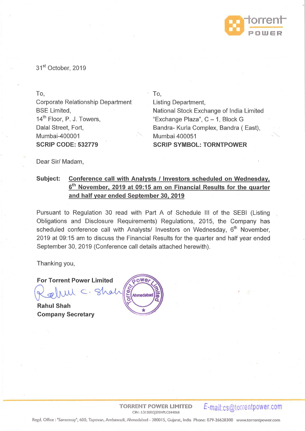

31<sup>st</sup> October, 2019

To, Corporate Relationship Department BSE Limited, 14<sup>th</sup> Floor, P. J. Towers, Dalal Street, Fort, Mumbai-400001 **SCRIP CODE: 532779** 

To,

Listing Department, National Stock Exchange of India Limited "Exchange Plaza",  $C - 1$ , Block G Bandra- Kurla Complex, Bandra ( East), Mumbai 400051 **SCRIP SYMBOL: TORNTPOWER** 

Dear Sir/ Madam,

## **Subject: Conference call with Analysts I Investors scheduled on Wednesday,**  6<sup>th</sup> November, 2019 at 09:15 am on Financial Results for the quarter **and half year ended September 30, 2019**

Pursuant to Regulation 30 read with Part A of Schedule Ill of the SEBI (Listing Obligations and Disclosure Requirements) Regulations, 2015, the Company has scheduled conference call with Analysts/ Investors on Wednesday, 6<sup>th</sup> November, 2019 at 09:15 am to discuss the Financial Results for the quarter and half year ended September 30, 2019 (Conference call details attached herewith).

Thanking you,

For Torrent Power Limited<br>Relium C. Shal

**Rahul Shah Company Secretary** 



**TORRENT POWER LIMITED**  CIN : L3 1200Gj2004PLC044068

**E-mail:cs@torrentpower.com** 

Regd. Office: "Sarnanvay", 600, Tapovan, Ambawadi, Ahmedabad· 380015, Gujarat, India Phone: 079-26628300 www.torrentpower.com